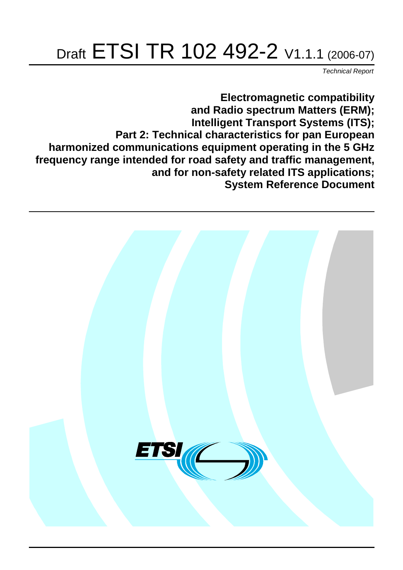# Draft ETSI TR 102 492-2 V1.1.1 (2006-07)

Technical Report

**Electromagnetic compatibility and Radio spectrum Matters (ERM); Intelligent Transport Systems (ITS); Part 2: Technical characteristics for pan European harmonized communications equipment operating in the 5 GHz frequency range intended for road safety and traffic management, and for non-safety related ITS applications; System Reference Document**

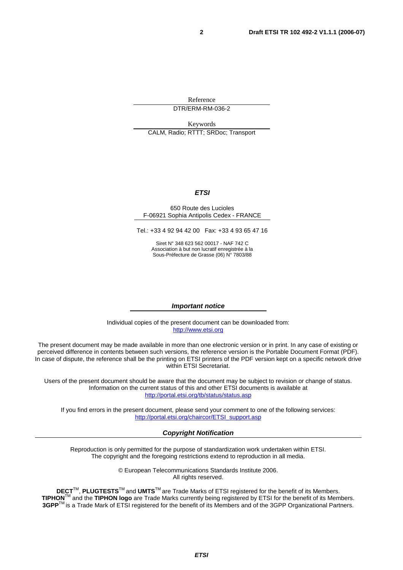Reference DTR/ERM-RM-036-2

Keywords CALM, Radio; RTTT; SRDoc; Transport

#### **ETSI**

#### 650 Route des Lucioles F-06921 Sophia Antipolis Cedex - FRANCE

Tel.: +33 4 92 94 42 00 Fax: +33 4 93 65 47 16

Siret N° 348 623 562 00017 - NAF 742 C Association à but non lucratif enregistrée à la Sous-Préfecture de Grasse (06) N° 7803/88

#### **Important notice**

Individual copies of the present document can be downloaded from: [http://www.etsi.org](http://www.etsi.org/)

The present document may be made available in more than one electronic version or in print. In any case of existing or perceived difference in contents between such versions, the reference version is the Portable Document Format (PDF). In case of dispute, the reference shall be the printing on ETSI printers of the PDF version kept on a specific network drive within ETSI Secretariat.

Users of the present document should be aware that the document may be subject to revision or change of status. Information on the current status of this and other ETSI documents is available at <http://portal.etsi.org/tb/status/status.asp>

If you find errors in the present document, please send your comment to one of the following services: [http://portal.etsi.org/chaircor/ETSI\\_support.asp](http://portal.etsi.org/chaircor/ETSI_support.asp)

#### **Copyright Notification**

Reproduction is only permitted for the purpose of standardization work undertaken within ETSI. The copyright and the foregoing restrictions extend to reproduction in all media.

> © European Telecommunications Standards Institute 2006. All rights reserved.

**DECT**TM, **PLUGTESTS**TM and **UMTS**TM are Trade Marks of ETSI registered for the benefit of its Members. **TIPHON**TM and the **TIPHON logo** are Trade Marks currently being registered by ETSI for the benefit of its Members. **3GPP**TM is a Trade Mark of ETSI registered for the benefit of its Members and of the 3GPP Organizational Partners.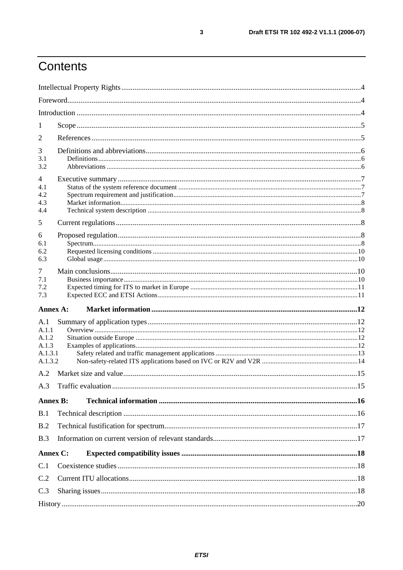# Contents

| 1               |  |
|-----------------|--|
| 2               |  |
| 3               |  |
| 3.1<br>3.2      |  |
| 4               |  |
| 4.1             |  |
| 4.2<br>4.3      |  |
| 4.4             |  |
| 5               |  |
| 6               |  |
| 6.1             |  |
| 6.2<br>6.3      |  |
| 7               |  |
| 7.1             |  |
| 7.2             |  |
| 7.3             |  |
| Annex A:        |  |
| A.1             |  |
| A.1.1<br>A.1.2  |  |
| A.1.3           |  |
| A.1.3.1         |  |
| A.1.3.2         |  |
| A.2             |  |
|                 |  |
| <b>Annex B:</b> |  |
| B.1             |  |
| B.2             |  |
| B.3             |  |
| Annex C:        |  |
| C.1             |  |
| C.2             |  |
| C.3             |  |
|                 |  |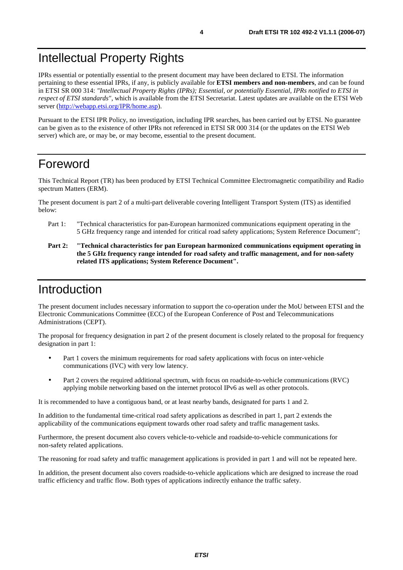### Intellectual Property Rights

IPRs essential or potentially essential to the present document may have been declared to ETSI. The information pertaining to these essential IPRs, if any, is publicly available for **ETSI members and non-members**, and can be found in ETSI SR 000 314: *"Intellectual Property Rights (IPRs); Essential, or potentially Essential, IPRs notified to ETSI in respect of ETSI standards"*, which is available from the ETSI Secretariat. Latest updates are available on the ETSI Web server ([http://webapp.etsi.org/IPR/home.asp\)](http://webapp.etsi.org/IPR/home.asp).

Pursuant to the ETSI IPR Policy, no investigation, including IPR searches, has been carried out by ETSI. No guarantee can be given as to the existence of other IPRs not referenced in ETSI SR 000 314 (or the updates on the ETSI Web server) which are, or may be, or may become, essential to the present document.

### Foreword

This Technical Report (TR) has been produced by ETSI Technical Committee Electromagnetic compatibility and Radio spectrum Matters (ERM).

The present document is part 2 of a multi-part deliverable covering Intelligent Transport System (ITS) as identified below:

- Part 1: "Technical characteristics for pan-European harmonized communications equipment operating in the 5 GHz frequency range and intended for critical road safety applications; System Reference Document";
- **Part 2: "Technical characteristics for pan European harmonized communications equipment operating in the 5 GHz frequency range intended for road safety and traffic management, and for non-safety related ITS applications; System Reference Document".**

#### Introduction

The present document includes necessary information to support the co-operation under the MoU between ETSI and the Electronic Communications Committee (ECC) of the European Conference of Post and Telecommunications Administrations (CEPT).

The proposal for frequency designation in part 2 of the present document is closely related to the proposal for frequency designation in part 1:

- Part 1 covers the minimum requirements for road safety applications with focus on inter-vehicle communications (IVC) with very low latency.
- Part 2 covers the required additional spectrum, with focus on roadside-to-vehicle communications (RVC) applying mobile networking based on the internet protocol IPv6 as well as other protocols.

It is recommended to have a contiguous band, or at least nearby bands, designated for parts 1 and 2.

In addition to the fundamental time-critical road safety applications as described in part 1, part 2 extends the applicability of the communications equipment towards other road safety and traffic management tasks.

Furthermore, the present document also covers vehicle-to-vehicle and roadside-to-vehicle communications for non-safety related applications.

The reasoning for road safety and traffic management applications is provided in part 1 and will not be repeated here.

In addition, the present document also covers roadside-to-vehicle applications which are designed to increase the road traffic efficiency and traffic flow. Both types of applications indirectly enhance the traffic safety.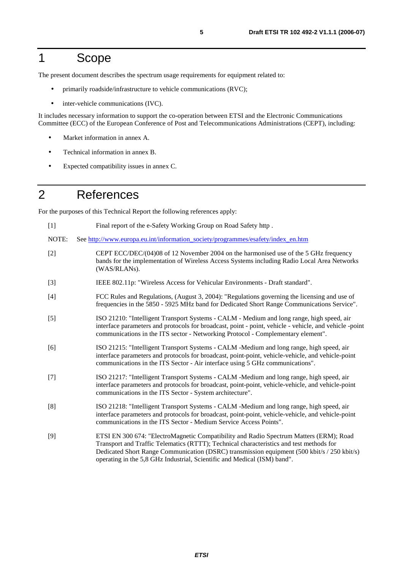#### 1 Scope

The present document describes the spectrum usage requirements for equipment related to:

- primarily roadside/infrastructure to vehicle communications (RVC);
- inter-vehicle communications (IVC).

It includes necessary information to support the co-operation between ETSI and the Electronic Communications Committee (ECC) of the European Conference of Post and Telecommunications Administrations (CEPT), including:

- Market information in annex A.
- Technical information in annex B.
- Expected compatibility issues in annex C.

### 2 References

For the purposes of this Technical Report the following references apply:

- [1] Final report of the e-Safety Working Group on Road Safety http .
- NOTE: See [http://www.europa.eu.int/information\\_society/programmes/esafety/index\\_en.htm](http://www.europa.eu.int/information_society/programmes/esafety/index_en.htm)
- [2] CEPT ECC/DEC/(04)08 of 12 November 2004 on the harmonised use of the 5 GHz frequency bands for the implementation of Wireless Access Systems including Radio Local Area Networks (WAS/RLANs).
- [3] IEEE 802.11p: "Wireless Access for Vehicular Environments Draft standard".
- [4] FCC Rules and Regulations, (August 3, 2004): "Regulations governing the licensing and use of frequencies in the 5850 - 5925 MHz band for Dedicated Short Range Communications Service".
- [5] ISO 21210: "Intelligent Transport Systems CALM Medium and long range, high speed, air interface parameters and protocols for broadcast, point - point, vehicle - vehicle, and vehicle -point communications in the ITS sector - Networking Protocol - Complementary element".
- [6] ISO 21215: "Intelligent Transport Systems CALM -Medium and long range, high speed, air interface parameters and protocols for broadcast, point-point, vehicle-vehicle, and vehicle-point communications in the ITS Sector - Air interface using 5 GHz communications".
- [7] ISO 21217: "Intelligent Transport Systems CALM -Medium and long range, high speed, air interface parameters and protocols for broadcast, point-point, vehicle-vehicle, and vehicle-point communications in the ITS Sector - System architecture".
- [8] ISO 21218: "Intelligent Transport Systems CALM -Medium and long range, high speed, air interface parameters and protocols for broadcast, point-point, vehicle-vehicle, and vehicle-point communications in the ITS Sector - Medium Service Access Points".
- [9] ETSI EN 300 674: "ElectroMagnetic Compatibility and Radio Spectrum Matters (ERM); Road Transport and Traffic Telematics (RTTT); Technical characteristics and test methods for Dedicated Short Range Communication (DSRC) transmission equipment (500 kbit/s / 250 kbit/s) operating in the 5,8 GHz Industrial, Scientific and Medical (ISM) band".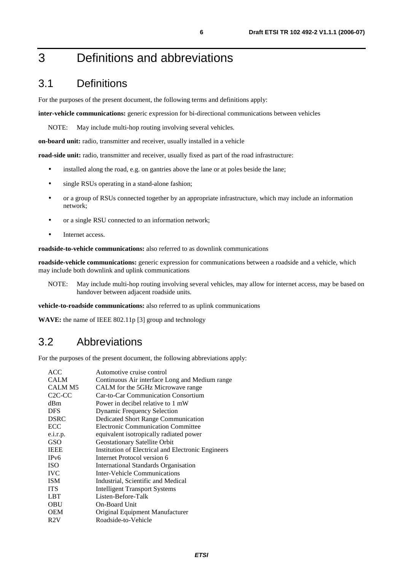### 3 Definitions and abbreviations

#### 3.1 Definitions

For the purposes of the present document, the following terms and definitions apply:

**inter-vehicle communications:** generic expression for bi-directional communications between vehicles

NOTE: May include multi-hop routing involving several vehicles.

**on-board unit:** radio, transmitter and receiver, usually installed in a vehicle

**road-side unit:** radio, transmitter and receiver, usually fixed as part of the road infrastructure:

- installed along the road, e.g. on gantries above the lane or at poles beside the lane;
- single RSUs operating in a stand-alone fashion;
- or a group of RSUs connected together by an appropriate infrastructure, which may include an information network;
- or a single RSU connected to an information network;
- Internet access.

**roadside-to-vehicle communications:** also referred to as downlink communications

**roadside-vehicle communications:** generic expression for communications between a roadside and a vehicle, which may include both downlink and uplink communications

NOTE: May include multi-hop routing involving several vehicles, may allow for internet access, may be based on handover between adjacent roadside units.

**vehicle-to-roadside communications:** also referred to as uplink communications

**WAVE:** the name of IEEE 802.11p [3] group and technology

#### 3.2 Abbreviations

For the purposes of the present document, the following abbreviations apply:

| <b>ACC</b>                      | Automotive cruise control                          |
|---------------------------------|----------------------------------------------------|
| <b>CALM</b>                     | Continuous Air interface Long and Medium range     |
| CALM M5                         | CALM for the 5GHz Microwave range                  |
| C <sub>2</sub> C <sub>-CC</sub> | <b>Car-to-Car Communication Consortium</b>         |
| dBm                             | Power in decibel relative to 1 mW                  |
| <b>DFS</b>                      | <b>Dynamic Frequency Selection</b>                 |
| <b>DSRC</b>                     | <b>Dedicated Short Range Communication</b>         |
| ECC                             | <b>Electronic Communication Committee</b>          |
| e.i.r.p.                        | equivalent isotropically radiated power            |
| <b>GSO</b>                      | <b>Geostationary Satellite Orbit</b>               |
| <b>IEEE</b>                     | Institution of Electrical and Electronic Engineers |
| IP <sub>v</sub> 6               | Internet Protocol version 6                        |
| <b>ISO</b>                      | International Standards Organisation               |
| <b>IVC</b>                      | Inter-Vehicle Communications                       |
| <b>ISM</b>                      | Industrial, Scientific and Medical                 |
| <b>ITS</b>                      | <b>Intelligent Transport Systems</b>               |
| <b>LBT</b>                      | Listen-Before-Talk                                 |
| <b>OBU</b>                      | <b>On-Board Unit</b>                               |
| <b>OEM</b>                      | Original Equipment Manufacturer                    |
| R2V                             | Roadside-to-Vehicle                                |
|                                 |                                                    |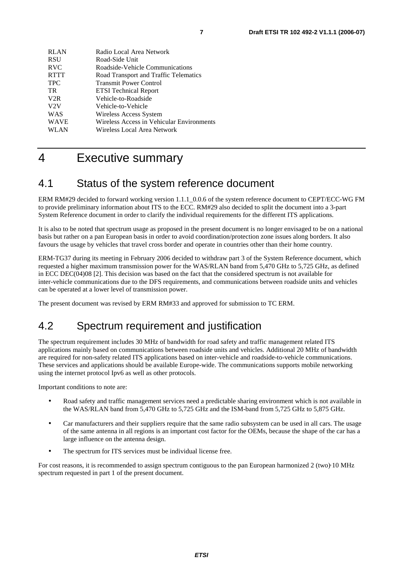| <b>RLAN</b> | Radio Local Area Network                  |
|-------------|-------------------------------------------|
| <b>RSU</b>  | Road-Side Unit                            |
| <b>RVC</b>  | Roadside-Vehicle Communications           |
| <b>RTTT</b> | Road Transport and Traffic Telematics     |
| <b>TPC</b>  | <b>Transmit Power Control</b>             |
| TR.         | <b>ETSI</b> Technical Report              |
| V2R         | Vehicle-to-Roadside                       |
| V2V         | Vehicle-to-Vehicle                        |
| WAS         | Wireless Access System                    |
| <b>WAVE</b> | Wireless Access in Vehicular Environments |
| WLAN        | Wireless Local Area Network               |
|             |                                           |

### 4 Executive summary

#### 4.1 Status of the system reference document

ERM RM#29 decided to forward working version 1.1.1\_0.0.6 of the system reference document to CEPT/ECC-WG FM to provide preliminary information about ITS to the ECC. RM#29 also decided to split the document into a 3-part System Reference document in order to clarify the individual requirements for the different ITS applications.

It is also to be noted that spectrum usage as proposed in the present document is no longer envisaged to be on a national basis but rather on a pan European basis in order to avoid coordination/protection zone issues along borders. It also favours the usage by vehicles that travel cross border and operate in countries other than their home country.

ERM-TG37 during its meeting in February 2006 decided to withdraw part 3 of the System Reference document, which requested a higher maximum transmission power for the WAS/RLAN band from 5,470 GHz to 5,725 GHz, as defined in ECC DEC(04)08 [2]. This decision was based on the fact that the considered spectrum is not available for inter-vehicle communications due to the DFS requirements, and communications between roadside units and vehicles can be operated at a lower level of transmission power.

The present document was revised by ERM RM#33 and approved for submission to TC ERM.

#### 4.2 Spectrum requirement and justification

The spectrum requirement includes 30 MHz of bandwidth for road safety and traffic management related ITS applications mainly based on communications between roadside units and vehicles. Additional 20 MHz of bandwidth are required for non-safety related ITS applications based on inter-vehicle and roadside-to-vehicle communications. These services and applications should be available Europe-wide. The communications supports mobile networking using the internet protocol Ipv6 as well as other protocols.

Important conditions to note are:

- Road safety and traffic management services need a predictable sharing environment which is not available in the WAS/RLAN band from 5,470 GHz to 5,725 GHz and the ISM-band from 5,725 GHz to 5,875 GHz.
- Car manufacturers and their suppliers require that the same radio subsystem can be used in all cars. The usage of the same antenna in all regions is an important cost factor for the OEMs, because the shape of the car has a large influence on the antenna design.
- The spectrum for ITS services must be individual license free.

For cost reasons, it is recommended to assign spectrum contiguous to the pan European harmonized 2 (two)10 MHz spectrum requested in part 1 of the present document. spectrum requested in part 1 of the present document.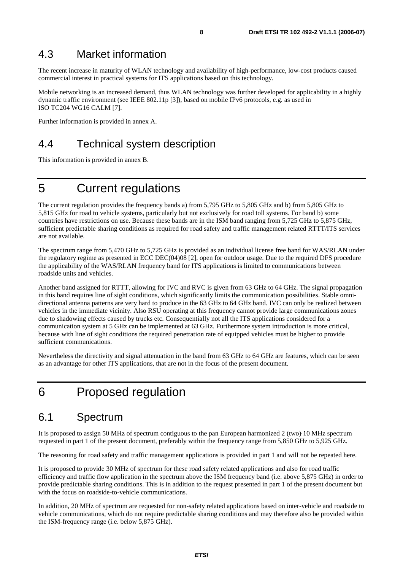#### 4.3 Market information

The recent increase in maturity of WLAN technology and availability of high-performance, low-cost products caused commercial interest in practical systems for ITS applications based on this technology.

Mobile networking is an increased demand, thus WLAN technology was further developed for applicability in a highly dynamic traffic environment (see IEEE 802.11p [3]), based on mobile IPv6 protocols, e.g. as used in ISO TC204 WG16 CALM [7].

Further information is provided in annex A.

#### 4.4 Technical system description

This information is provided in annex B.

### 5 Current regulations

The current regulation provides the frequency bands a) from 5,795 GHz to 5,805 GHz and b) from 5,805 GHz to 5,815 GHz for road to vehicle systems, particularly but not exclusively for road toll systems. For band b) some countries have restrictions on use. Because these bands are in the ISM band ranging from 5,725 GHz to 5,875 GHz, sufficient predictable sharing conditions as required for road safety and traffic management related RTTT/ITS services are not available.

The spectrum range from 5,470 GHz to 5,725 GHz is provided as an individual license free band for WAS/RLAN under the regulatory regime as presented in ECC DEC(04)08 [2], open for outdoor usage. Due to the required DFS procedure the applicability of the WAS/RLAN frequency band for ITS applications is limited to communications between roadside units and vehicles.

Another band assigned for RTTT, allowing for IVC and RVC is given from 63 GHz to 64 GHz. The signal propagation in this band requires line of sight conditions, which significantly limits the communication possibilities. Stable omnidirectional antenna patterns are very hard to produce in the 63 GHz to 64 GHz band. IVC can only be realized between vehicles in the immediate vicinity. Also RSU operating at this frequency cannot provide large communications zones due to shadowing effects caused by trucks etc. Consequentially not all the ITS applications considered for a communication system at 5 GHz can be implemented at 63 GHz. Furthermore system introduction is more critical, because with line of sight conditions the required penetration rate of equipped vehicles must be higher to provide sufficient communications.

Nevertheless the directivity and signal attenuation in the band from 63 GHz to 64 GHz are features, which can be seen as an advantage for other ITS applications, that are not in the focus of the present document.

### 6 Proposed regulation

#### 6.1 Spectrum

It is proposed to assign 50 MHz of spectrum contiguous to the pan European harmonized 2 (two) 10 MHz spectrum It is proposed to assign 50 MHz of spectrum contiguous to the pan European harmonized 2 (two) 10 MHz spectrum<br>requested in part 1 of the present document, preferably within the frequency range from 5,850 GHz to 5,925 GHz.<br> requested in part 1 of the present document, preferably within the frequency range from 5,850 GHz to 5,925 GHz.

It is proposed to provide 30 MHz of spectrum for these road safety related applications and also for road traffic efficiency and traffic flow application in the spectrum above the ISM frequency band (i.e. above 5,875 GHz) in order to provide predictable sharing conditions. This is in addition to the request presented in part 1 of the present document but with the focus on roadside-to-vehicle communications.

In addition, 20 MHz of spectrum are requested for non-safety related applications based on inter-vehicle and roadside to vehicle communications, which do not require predictable sharing conditions and may therefore also be provided within the ISM-frequency range (i.e. below 5,875 GHz).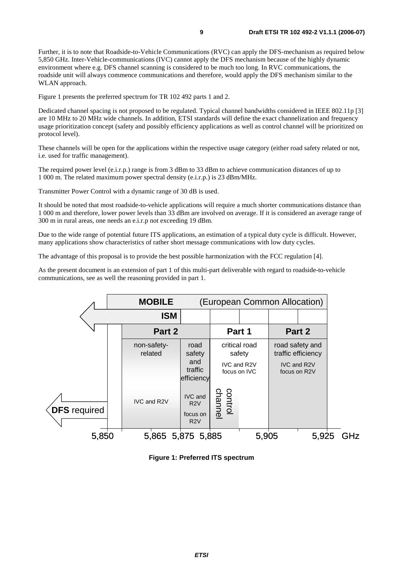Further, it is to note that Roadside-to-Vehicle Communications (RVC) can apply the DFS-mechanism as required below 5,850 GHz. Inter-Vehicle-communications (IVC) cannot apply the DFS mechanism because of the highly dynamic environment where e.g. DFS channel scanning is considered to be much too long. In RVC communications, the roadside unit will always commence communications and therefore, would apply the DFS mechanism similar to the WLAN approach.

Figure 1 presents the preferred spectrum for TR 102 492 parts 1 and 2.

Dedicated channel spacing is not proposed to be regulated. Typical channel bandwidths considered in IEEE 802.11p [3] are 10 MHz to 20 MHz wide channels. In addition, ETSI standards will define the exact channelization and frequency usage prioritization concept (safety and possibly efficiency applications as well as control channel will be prioritized on protocol level).

These channels will be open for the applications within the respective usage category (either road safety related or not, i.e. used for traffic management).

The required power level (e.i.r.p.) range is from 3 dBm to 33 dBm to achieve communication distances of up to 1 000 m. The related maximum power spectral density (e.i.r.p.) is 23 dBm/MHz.

Transmitter Power Control with a dynamic range of 30 dB is used.

It should be noted that most roadside-to-vehicle applications will require a much shorter communications distance than 1 000 m and therefore, lower power levels than 33 dBm are involved on average. If it is considered an average range of 300 m in rural areas, one needs an e.i.r.p not exceeding 19 dBm.

Due to the wide range of potential future ITS applications, an estimation of a typical duty cycle is difficult. However, many applications show characteristics of rather short message communications with low duty cycles.

The advantage of this proposal is to provide the best possible harmonization with the FCC regulation [4].

As the present document is an extension of part 1 of this multi-part deliverable with regard to roadside-to-vehicle communications, see as well the reasoning provided in part 1.



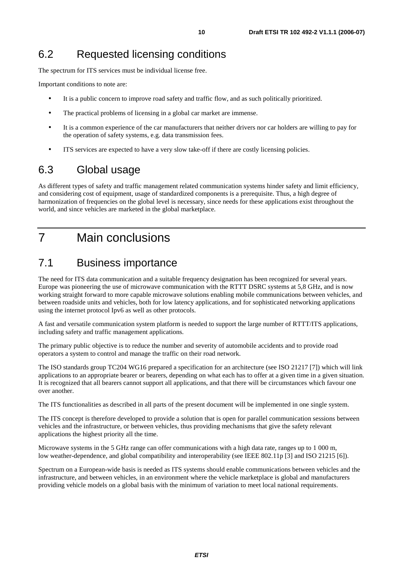#### 6.2 Requested licensing conditions

The spectrum for ITS services must be individual license free.

Important conditions to note are:

- It is a public concern to improve road safety and traffic flow, and as such politically prioritized.
- The practical problems of licensing in a global car market are immense.
- It is a common experience of the car manufacturers that neither drivers nor car holders are willing to pay for the operation of safety systems, e.g. data transmission fees.
- ITS services are expected to have a very slow take-off if there are costly licensing policies.

#### 6.3 Global usage

As different types of safety and traffic management related communication systems hinder safety and limit efficiency, and considering cost of equipment, usage of standardized components is a prerequisite. Thus, a high degree of harmonization of frequencies on the global level is necessary, since needs for these applications exist throughout the world, and since vehicles are marketed in the global marketplace.

### 7 Main conclusions

#### 7.1 Business importance

The need for ITS data communication and a suitable frequency designation has been recognized for several years. Europe was pioneering the use of microwave communication with the RTTT DSRC systems at 5,8 GHz, and is now working straight forward to more capable microwave solutions enabling mobile communications between vehicles, and between roadside units and vehicles, both for low latency applications, and for sophisticated networking applications using the internet protocol Ipv6 as well as other protocols.

A fast and versatile communication system platform is needed to support the large number of RTTT/ITS applications, including safety and traffic management applications.

The primary public objective is to reduce the number and severity of automobile accidents and to provide road operators a system to control and manage the traffic on their road network.

The ISO standards group TC204 WG16 prepared a specification for an architecture (see ISO 21217 [7]) which will link applications to an appropriate bearer or bearers, depending on what each has to offer at a given time in a given situation. It is recognized that all bearers cannot support all applications, and that there will be circumstances which favour one over another.

The ITS functionalities as described in all parts of the present document will be implemented in one single system.

The ITS concept is therefore developed to provide a solution that is open for parallel communication sessions between vehicles and the infrastructure, or between vehicles, thus providing mechanisms that give the safety relevant applications the highest priority all the time.

Microwave systems in the 5 GHz range can offer communications with a high data rate, ranges up to 1 000 m, low weather-dependence, and global compatibility and interoperability (see IEEE 802.11p [3] and ISO 21215 [6]).

Spectrum on a European-wide basis is needed as ITS systems should enable communications between vehicles and the infrastructure, and between vehicles, in an environment where the vehicle marketplace is global and manufacturers providing vehicle models on a global basis with the minimum of variation to meet local national requirements.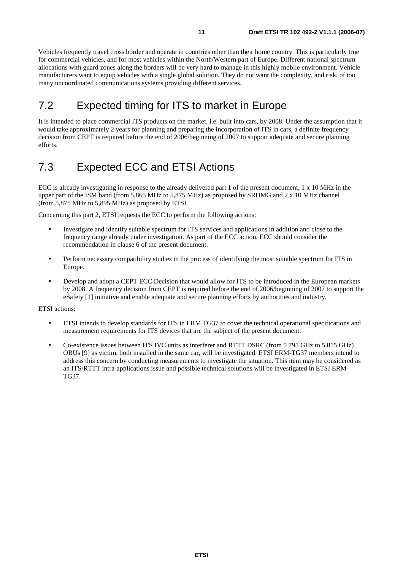Vehicles frequently travel cross border and operate in countries other than their home country. This is particularly true for commercial vehicles, and for most vehicles within the North/Western part of Europe. Different national spectrum allocations with guard zones along the borders will be very hard to manage in this highly mobile environment. Vehicle manufacturers want to equip vehicles with a single global solution. They do not want the complexity, and risk, of too many uncoordinated communications systems providing different services.

#### 7.2 Expected timing for ITS to market in Europe

It is intended to place commercial ITS products on the market, i.e. built into cars, by 2008. Under the assumption that it would take approximately 2 years for planning and preparing the incorporation of ITS in cars, a definite frequency decision from CEPT is required before the end of 2006/beginning of 2007 to support adequate and secure planning efforts.

### 7.3 Expected ECC and ETSI Actions

ECC is already investigating in response to the already delivered part 1 of the present document, 1 x 10 MHz in the upper part of the ISM band (from 5,865 MHz to 5,875 MHz) as proposed by SRDMG and 2 x 10 MHz channel (from 5,875 MHz to 5,895 MHz) as proposed by ETSI.

Concerning this part 2, ETSI requests the ECC to perform the following actions:

- Investigate and identify suitable spectrum for ITS services and applications in addition and close to the frequency range already under investigation. As part of the ECC action, ECC should consider the recommendation in clause 6 of the present document.
- Perform necessary compatibility studies in the process of identifying the most suitable spectrum for ITS in Europe.
- Develop and adopt a CEPT ECC Decision that would allow for ITS to be introduced in the European markets by 2008. A frequency decision from CEPT is required before the end of 2006/beginning of 2007 to support the eSafety [1] initiative and enable adequate and secure planning efforts by authorities and industry.

#### ETSI actions:

- ETSI intends to develop standards for ITS in ERM TG37 to cover the technical operational specifications and measurement requirements for ITS devices that are the subject of the present document.
- Co-existence issues between ITS IVC units as interferer and RTTT DSRC (from 5 795 GHz to 5 815 GHz) OBUs [9] as victim, both installed in the same car, will be investigated. ETSI ERM-TG37 members intend to address this concern by conducting measurements to investigate the situation. This item may be considered as an ITS/RTTT intra-applications issue and possible technical solutions will be investigated in ETSI ERM-TG37.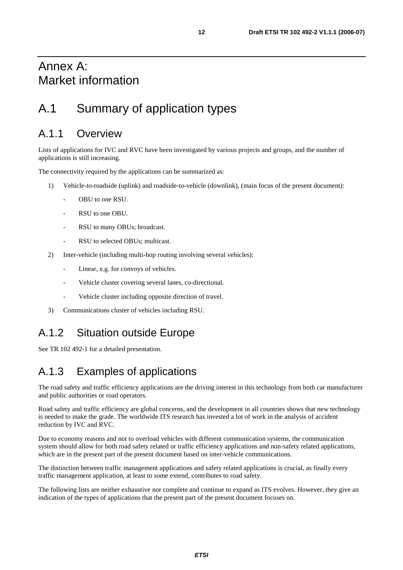### Annex A: Market information

### A.1 Summary of application types

#### A.1.1 Overview

Lists of applications for IVC and RVC have been investigated by various projects and groups, and the number of applications is still increasing.

The connectivity required by the applications can be summarized as:

- 1) Vehicle-to-roadside (uplink) and roadside-to-vehicle (downlink), (main focus of the present document):
	- OBU to one RSU.
	- RSU to one OBU.
	- RSU to many OBUs; broadcast.
	- RSU to selected OBUs; multicast.
- 2) Inter-vehicle (including multi-hop routing involving several vehicles):
	- Linear, e.g. for convoys of vehicles.
	- Vehicle cluster covering several lanes, co-directional.
	- Vehicle cluster including opposite direction of travel.
- 3) Communications cluster of vehicles including RSU.

#### A.1.2 Situation outside Europe

See TR 102 492-1 for a detailed presentation.

#### A.1.3 Examples of applications

The road safety and traffic efficiency applications are the driving interest in this technology from both car manufacturer and public authorities or road operators.

Road safety and traffic efficiency are global concerns, and the development in all countries shows that new technology is needed to make the grade. The worldwide ITS research has invested a lot of work in the analysis of accident reduction by IVC and RVC.

Due to economy reasons and not to overload vehicles with different communication systems, the communication system should allow for both road safety related or traffic efficiency applications and non-safety related applications, which are in the present part of the present document based on inter-vehicle communications.

The distinction between traffic management applications and safety related applications is crucial, as finally every traffic management application, at least to some extend, contributes to road safety.

The following lists are neither exhaustive nor complete and continue to expand as ITS evolves. However, they give an indication of the types of applications that the present part of the present document focuses on.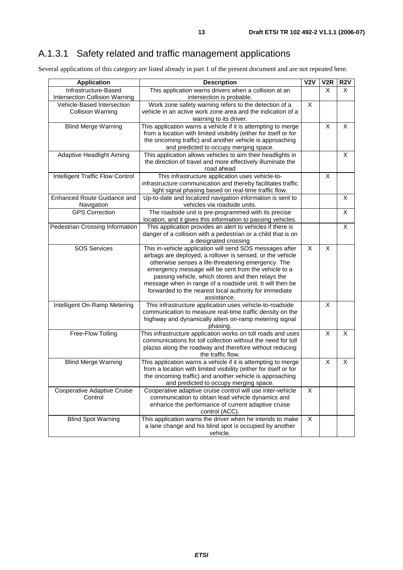### A.1.3.1 Safety related and traffic management applications

Several applications of this category are listed already in part 1 of the present document and are not repeated here.

| <b>Application</b>                      | <b>Description</b>                                                | V2V            | V <sub>2</sub> R | R <sub>2</sub> V |
|-----------------------------------------|-------------------------------------------------------------------|----------------|------------------|------------------|
| Infrastructure-Based                    | This application warns drivers when a collision at an             |                | X                | X                |
| <b>Intersection Collision Warning</b>   | intersection is probable.                                         |                |                  |                  |
| Vehicle-Based Intersection              | Work zone safety warning refers to the detection of a             | $\overline{X}$ |                  |                  |
| <b>Collision Warning</b>                | vehicle in an active work zone area and the indication of a       |                |                  |                  |
|                                         | warning to its driver.                                            |                |                  |                  |
| <b>Blind Merge Warning</b>              | This application warns a vehicle if it is attempting to merge     |                | X                | X                |
|                                         | from a location with limited visibility (either for itself or for |                |                  |                  |
|                                         | the oncoming traffic) and another vehicle is approaching          |                |                  |                  |
|                                         | and predicted to occupy merging space.                            |                |                  |                  |
| Adaptive Headlight Aiming               | This application allows vehicles to aim their headlights in       |                |                  | X                |
|                                         | the direction of travel and more effectively illuminate the       |                |                  |                  |
|                                         | road ahead                                                        |                |                  |                  |
| <b>Intelligent Traffic Flow Control</b> | This infrastructure application uses vehicle-to-                  |                | X                |                  |
|                                         | infrastructure communication and thereby facilitates traffic      |                |                  |                  |
|                                         | light signal phasing based on real-time traffic flow.             |                |                  |                  |
| <b>Enhanced Route Guidance and</b>      | Up-to-date and localized navigation information is sent to        |                |                  | X                |
| Navigation                              | vehicles via roadside units.                                      |                |                  |                  |
| <b>GPS Correction</b>                   | The roadside unit is pre-programmed with its precise              |                |                  | X                |
|                                         | location, and it gives this information to passing vehicles.      |                |                  |                  |
| Pedestrian Crossing Information         | This application provides an alert to vehicles if there is        |                |                  | X                |
|                                         | danger of a collision with a pedestrian or a child that is on     |                |                  |                  |
|                                         | a designated crossing                                             |                |                  |                  |
| <b>SOS Services</b>                     | This in-vehicle application will send SOS messages after          | X              | X                |                  |
|                                         | airbags are deployed, a rollover is sensed, or the vehicle        |                |                  |                  |
|                                         | otherwise senses a life-threatening emergency. The                |                |                  |                  |
|                                         | emergency message will be sent from the vehicle to a              |                |                  |                  |
|                                         | passing vehicle, which stores and then relays the                 |                |                  |                  |
|                                         | message when in range of a roadside unit. It will then be         |                |                  |                  |
|                                         | forwarded to the nearest local authority for immediate            |                |                  |                  |
|                                         | assistance.                                                       |                |                  |                  |
| Intelligent On-Ramp Metering            | This infrastructure application uses vehicle-to-roadside          |                | X                |                  |
|                                         | communication to measure real-time traffic density on the         |                |                  |                  |
|                                         | highway and dynamically alters on-ramp metering signal            |                |                  |                  |
|                                         | phasing.                                                          |                |                  |                  |
| Free-Flow Tolling                       | This infrastructure application works on toll roads and uses      |                | X                | X                |
|                                         | communications for toll collection without the need for toll      |                |                  |                  |
|                                         | plazas along the roadway and therefore without reducing           |                |                  |                  |
|                                         | the traffic flow.                                                 |                |                  |                  |
| <b>Blind Merge Warning</b>              | This application warns a vehicle if it is attempting to merge     |                | X                | Χ                |
|                                         | from a location with limited visibility (either for itself or for |                |                  |                  |
|                                         | the oncoming traffic) and another vehicle is approaching          |                |                  |                  |
|                                         | and predicted to occupy merging space.                            |                |                  |                  |
| <b>Cooperative Adaptive Cruise</b>      | Cooperative adaptive cruise control will use inter-vehicle        | X              |                  |                  |
| Control                                 | communication to obtain lead vehicle dynamics and                 |                |                  |                  |
|                                         | enhance the performance of current adaptive cruise                |                |                  |                  |
|                                         | control (ACC).                                                    |                |                  |                  |
| <b>Blind Spot Warning</b>               | This application warns the driver when he intends to make         | X              |                  |                  |
|                                         | a lane change and his blind spot is occupied by another           |                |                  |                  |
|                                         | vehicle.                                                          |                |                  |                  |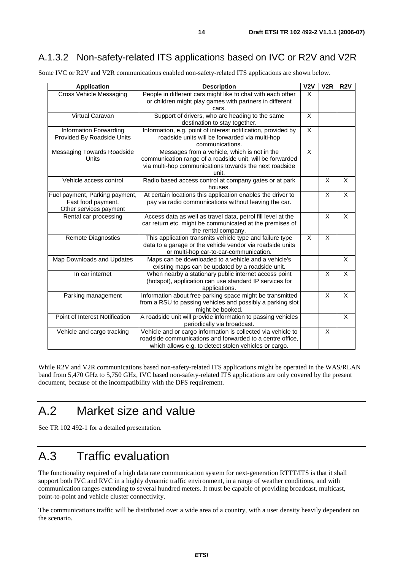#### A.1.3.2 Non-safety-related ITS applications based on IVC or R2V and V2R

Some IVC or R2V and V2R communications enabled non-safety-related ITS applications are shown below.

| <b>Application</b>                                                             | <b>Description</b>                                                                                                                                                                 | $\overline{V2V}$        | V2R | <b>R2V</b> |
|--------------------------------------------------------------------------------|------------------------------------------------------------------------------------------------------------------------------------------------------------------------------------|-------------------------|-----|------------|
| <b>Cross Vehicle Messaging</b>                                                 | People in different cars might like to chat with each other<br>or children might play games with partners in different<br>cars.                                                    | $\times$                |     |            |
| Virtual Caravan                                                                | Support of drivers, who are heading to the same<br>destination to stay together.                                                                                                   | X                       |     |            |
| Information Forwarding<br>Provided By Roadside Units                           | Information, e.g. point of interest notification, provided by<br>roadside units will be forwarded via multi-hop<br>communications.                                                 | $\overline{\mathsf{x}}$ |     |            |
| Messaging Towards Roadside<br><b>Units</b>                                     | Messages from a vehicle, which is not in the<br>communication range of a roadside unit, will be forwarded<br>via multi-hop communications towards the next roadside<br>unit.       | X                       |     |            |
| Vehicle access control                                                         | Radio based access control at company gates or at park<br>houses.                                                                                                                  |                         | X   | X          |
| Fuel payment, Parking payment,<br>Fast food payment,<br>Other services payment | At certain locations this application enables the driver to<br>pay via radio communications without leaving the car.                                                               |                         | X   | X          |
| Rental car processing                                                          | Access data as well as travel data, petrol fill level at the<br>car return etc. might be communicated at the premises of<br>the rental company.                                    |                         | X   | X          |
| Remote Diagnostics                                                             | This application transmits vehicle type and failure type<br>data to a garage or the vehicle vendor via roadside units<br>or multi-hop car-to-car-communication.                    | X                       | X   |            |
| Map Downloads and Updates                                                      | Maps can be downloaded to a vehicle and a vehicle's<br>existing maps can be updated by a roadside unit.                                                                            |                         |     | X          |
| In car internet                                                                | When nearby a stationary public internet access point<br>(hotspot), application can use standard IP services for<br>applications.                                                  |                         | X   | X          |
| Parking management                                                             | Information about free parking space might be transmitted<br>from a RSU to passing vehicles and possibly a parking slot<br>might be booked.                                        |                         | X   | X          |
| Point of Interest Notification                                                 | A roadside unit will provide information to passing vehicles<br>periodically via broadcast.                                                                                        |                         |     | X          |
| Vehicle and cargo tracking                                                     | Vehicle and or cargo information is collected via vehicle to<br>roadside communications and forwarded to a centre office,<br>which allows e.g. to detect stolen vehicles or cargo. |                         | X   |            |

While R2V and V2R communications based non-safety-related ITS applications might be operated in the WAS/RLAN band from 5,470 GHz to 5,750 GHz, IVC based non-safety-related ITS applications are only covered by the present document, because of the incompatibility with the DFS requirement.

### A.2 Market size and value

See TR 102 492-1 for a detailed presentation.

## A.3 Traffic evaluation

The functionality required of a high data rate communication system for next-generation RTTT/ITS is that it shall support both IVC and RVC in a highly dynamic traffic environment, in a range of weather conditions, and with communication ranges extending to several hundred meters. It must be capable of providing broadcast, multicast, point-to-point and vehicle cluster connectivity.

The communications traffic will be distributed over a wide area of a country, with a user density heavily dependent on the scenario.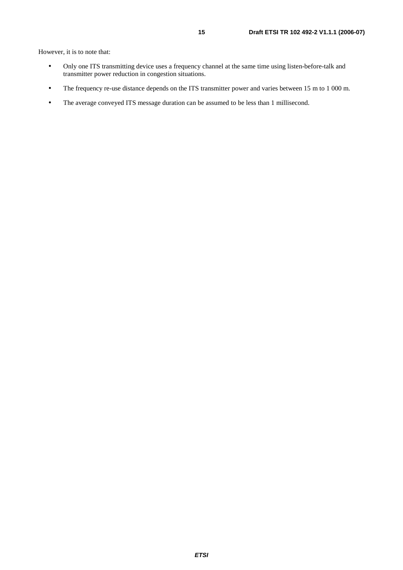However, it is to note that:

- Only one ITS transmitting device uses a frequency channel at the same time using listen-before-talk and the transmitter power reduction in congestion situations.
- The frequency re-use distance depends on the ITS transmitter power and varies between 15 m to 1 000 m.
- The average conveyed ITS message duration can be assumed to be less than 1 millisecond.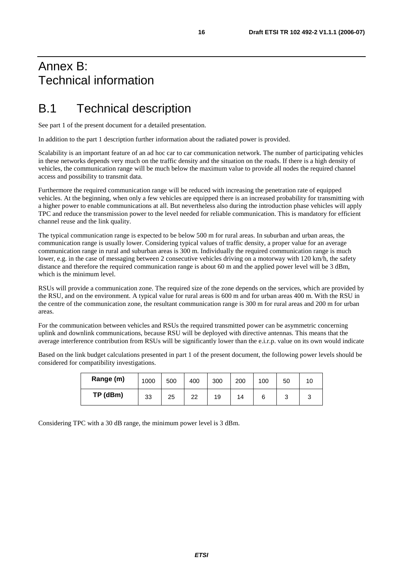### Annex B: Technical information

### B.1 Technical description

See part 1 of the present document for a detailed presentation.

In addition to the part 1 description further information about the radiated power is provided.

Scalability is an important feature of an ad hoc car to car communication network. The number of participating vehicles in these networks depends very much on the traffic density and the situation on the roads. If there is a high density of vehicles, the communication range will be much below the maximum value to provide all nodes the required channel access and possibility to transmit data.

Furthermore the required communication range will be reduced with increasing the penetration rate of equipped vehicles. At the beginning, when only a few vehicles are equipped there is an increased probability for transmitting with a higher power to enable communications at all. But nevertheless also during the introduction phase vehicles will apply TPC and reduce the transmission power to the level needed for reliable communication. This is mandatory for efficient channel reuse and the link quality.

The typical communication range is expected to be below 500 m for rural areas. In suburban and urban areas, the communication range is usually lower. Considering typical values of traffic density, a proper value for an average communication range in rural and suburban areas is 300 m. Individually the required communication range is much lower, e.g. in the case of messaging between 2 consecutive vehicles driving on a motorway with 120 km/h, the safety distance and therefore the required communication range is about 60 m and the applied power level will be 3 dBm, which is the minimum level.

RSUs will provide a communication zone. The required size of the zone depends on the services, which are provided by the RSU, and on the environment. A typical value for rural areas is 600 m and for urban areas 400 m. With the RSU in the centre of the communication zone, the resultant communication range is 300 m for rural areas and 200 m for urban areas.

For the communication between vehicles and RSUs the required transmitted power can be asymmetric concerning uplink and downlink communications, because RSU will be deployed with directive antennas. This means that the average interference contribution from RSUs will be significantly lower than the e.i.r.p. value on its own would indicate

Based on the link budget calculations presented in part 1 of the present document, the following power levels should be considered for compatibility investigations.

| Range (m) | 1000 | 500 | 400 | 300 | 200 | 100 | 50 | 10 |
|-----------|------|-----|-----|-----|-----|-----|----|----|
| TP (dBm)  | 33   | 25  | 22  | 19  | 14  |     | ◠  |    |

Considering TPC with a 30 dB range, the minimum power level is 3 dBm.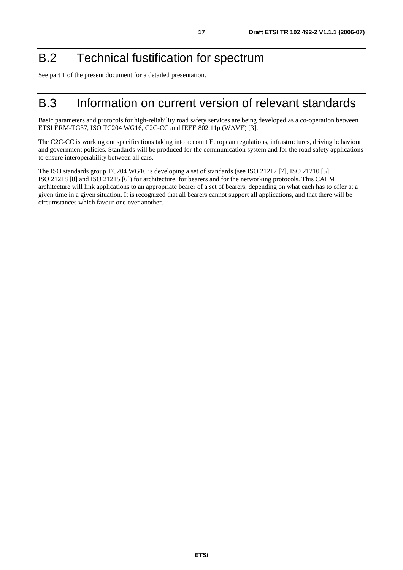# B.2 Technical fustification for spectrum

See part 1 of the present document for a detailed presentation.

### B.3 Information on current version of relevant standards

Basic parameters and protocols for high-reliability road safety services are being developed as a co-operation between ETSI ERM-TG37, ISO TC204 WG16, C2C-CC and IEEE 802.11p (WAVE) [3].

The C2C-CC is working out specifications taking into account European regulations, infrastructures, driving behaviour and government policies. Standards will be produced for the communication system and for the road safety applications to ensure interoperability between all cars.

The ISO standards group TC204 WG16 is developing a set of standards (see ISO 21217 [7], ISO 21210 [5], ISO 21218 [8] and ISO 21215 [6]) for architecture, for bearers and for the networking protocols. This CALM architecture will link applications to an appropriate bearer of a set of bearers, depending on what each has to offer at a given time in a given situation. It is recognized that all bearers cannot support all applications, and that there will be circumstances which favour one over another.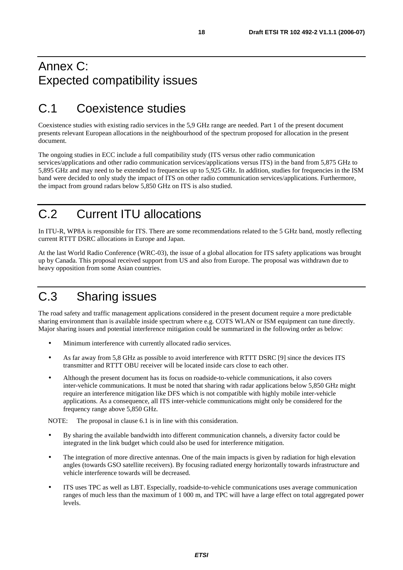### Annex C: Expected compatibility issues

## C.1 Coexistence studies

Coexistence studies with existing radio services in the 5,9 GHz range are needed. Part 1 of the present document presents relevant European allocations in the neighbourhood of the spectrum proposed for allocation in the present document.

The ongoing studies in ECC include a full compatibility study (ITS versus other radio communication services/applications and other radio communication services/applications versus ITS) in the band from 5,875 GHz to 5,895 GHz and may need to be extended to frequencies up to 5,925 GHz. In addition, studies for frequencies in the ISM band were decided to only study the impact of ITS on other radio communication services/applications. Furthermore, the impact from ground radars below 5,850 GHz on ITS is also studied.

## C.2 Current ITU allocations

In ITU-R, WP8A is responsible for ITS. There are some recommendations related to the 5 GHz band, mostly reflecting current RTTT DSRC allocations in Europe and Japan.

At the last World Radio Conference (WRC-03), the issue of a global allocation for ITS safety applications was brought up by Canada. This proposal received support from US and also from Europe. The proposal was withdrawn due to heavy opposition from some Asian countries.

# C.3 Sharing issues

The road safety and traffic management applications considered in the present document require a more predictable sharing environment than is available inside spectrum where e.g. COTS WLAN or ISM equipment can tune directly. Major sharing issues and potential interference mitigation could be summarized in the following order as below:

- Minimum interference with currently allocated radio services.
- As far away from 5,8 GHz as possible to avoid interference with RTTT DSRC [9] since the devices ITS transmitter and RTTT OBU receiver will be located inside cars close to each other.
- Although the present document has its focus on roadside-to-vehicle communications, it also covers inter-vehicle communications. It must be noted that sharing with radar applications below 5,850 GHz might require an interference mitigation like DFS which is not compatible with highly mobile inter-vehicle applications. As a consequence, all ITS inter-vehicle communications might only be considered for the frequency range above 5,850 GHz.

NOTE: The proposal in clause 6.1 is in line with this consideration.

- By sharing the available bandwidth into different communication channels, a diversity factor could be integrated in the link budget which could also be used for interference mitigation.
- The integration of more directive antennas. One of the main impacts is given by radiation for high elevation angles (towards GSO satellite receivers). By focusing radiated energy horizontally towards infrastructure and vehicle interference towards will be decreased.
- ITS uses TPC as well as LBT. Especially, roadside-to-vehicle communications uses average communication ranges of much less than the maximum of 1 000 m, and TPC will have a large effect on total aggregated power levels.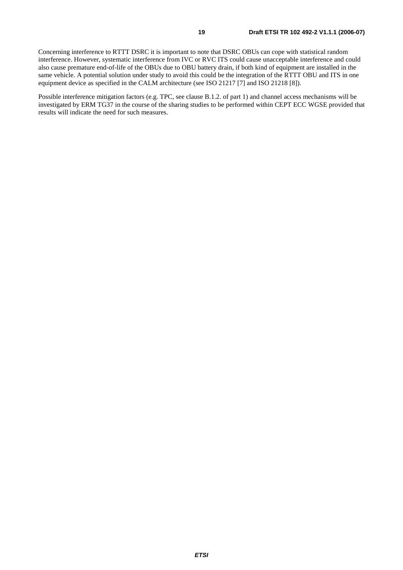Concerning interference to RTTT DSRC it is important to note that DSRC OBUs can cope with statistical random interference. However, systematic interference from IVC or RVC ITS could cause unacceptable interference and could also cause premature end-of-life of the OBUs due to OBU battery drain, if both kind of equipment are installed in the same vehicle. A potential solution under study to avoid this could be the integration of the RTTT OBU and ITS in one equipment device as specified in the CALM architecture (see ISO 21217 [7] and ISO 21218 [8]).

Possible interference mitigation factors (e.g. TPC, see clause B.1.2. of part 1) and channel access mechanisms will be investigated by ERM TG37 in the course of the sharing studies to be performed within CEPT ECC WGSE provided that results will indicate the need for such measures.